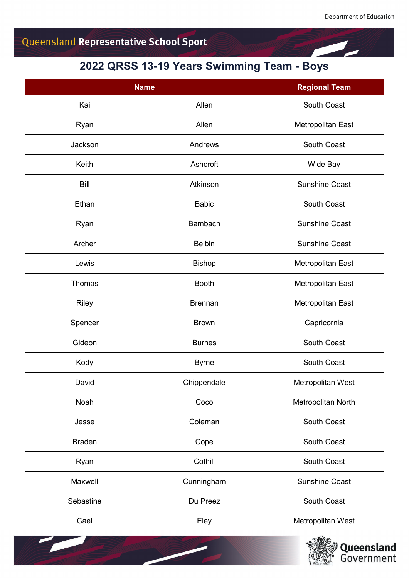## Queensland Representative School Sport

## **2022 QRSS 13-19 Years Swimming Team - Boys**

| <b>Name</b>   |                | <b>Regional Team</b>     |
|---------------|----------------|--------------------------|
| Kai           | Allen          | South Coast              |
| Ryan          | Allen          | Metropolitan East        |
| Jackson       | Andrews        | South Coast              |
| Keith         | Ashcroft       | Wide Bay                 |
| <b>Bill</b>   | Atkinson       | <b>Sunshine Coast</b>    |
| Ethan         | <b>Babic</b>   | South Coast              |
| Ryan          | Bambach        | <b>Sunshine Coast</b>    |
| Archer        | <b>Belbin</b>  | <b>Sunshine Coast</b>    |
| Lewis         | <b>Bishop</b>  | Metropolitan East        |
| Thomas        | <b>Booth</b>   | <b>Metropolitan East</b> |
| <b>Riley</b>  | <b>Brennan</b> | Metropolitan East        |
| Spencer       | <b>Brown</b>   | Capricornia              |
| Gideon        | <b>Burnes</b>  | South Coast              |
| Kody          | <b>Byrne</b>   | South Coast              |
| David         | Chippendale    | Metropolitan West        |
| Noah          | Coco           | Metropolitan North       |
| Jesse         | Coleman        | South Coast              |
| <b>Braden</b> | Cope           | South Coast              |
| Ryan          | Cothill        | South Coast              |
| Maxwell       | Cunningham     | <b>Sunshine Coast</b>    |
| Sebastine     | Du Preez       | South Coast              |
| Cael          | Eley           | Metropolitan West        |

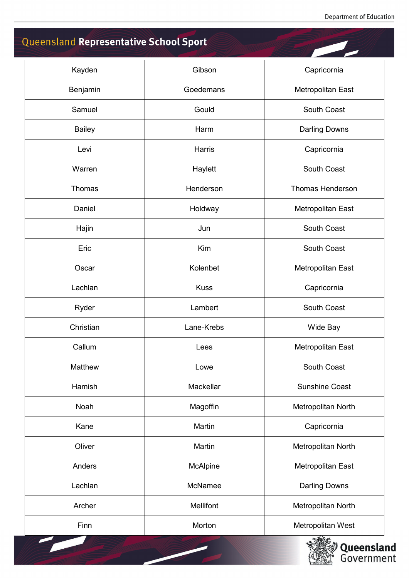## Queensland Representative School Sport

| Kayden        | Gibson           | Capricornia             |
|---------------|------------------|-------------------------|
| Benjamin      | Goedemans        | Metropolitan East       |
| Samuel        | Gould            | South Coast             |
| <b>Bailey</b> | Harm             | <b>Darling Downs</b>    |
| Levi          | Harris           | Capricornia             |
| Warren        | Haylett          | South Coast             |
| Thomas        | Henderson        | <b>Thomas Henderson</b> |
| Daniel        | Holdway          | Metropolitan East       |
| Hajin         | Jun              | <b>South Coast</b>      |
| Eric          | Kim              | South Coast             |
| Oscar         | Kolenbet         | Metropolitan East       |
| Lachlan       | <b>Kuss</b>      | Capricornia             |
| Ryder         | Lambert          | South Coast             |
| Christian     | Lane-Krebs       | Wide Bay                |
| Callum        | Lees             | Metropolitan East       |
| Matthew       | Lowe             | South Coast             |
| Hamish        | Mackellar        | <b>Sunshine Coast</b>   |
| Noah          | Magoffin         | Metropolitan North      |
| Kane          | Martin           | Capricornia             |
| Oliver        | Martin           | Metropolitan North      |
| Anders        | McAlpine         | Metropolitan East       |
| Lachlan       | McNamee          | <b>Darling Downs</b>    |
| Archer        | <b>Mellifont</b> | Metropolitan North      |
| Finn          | Morton           | Metropolitan West       |